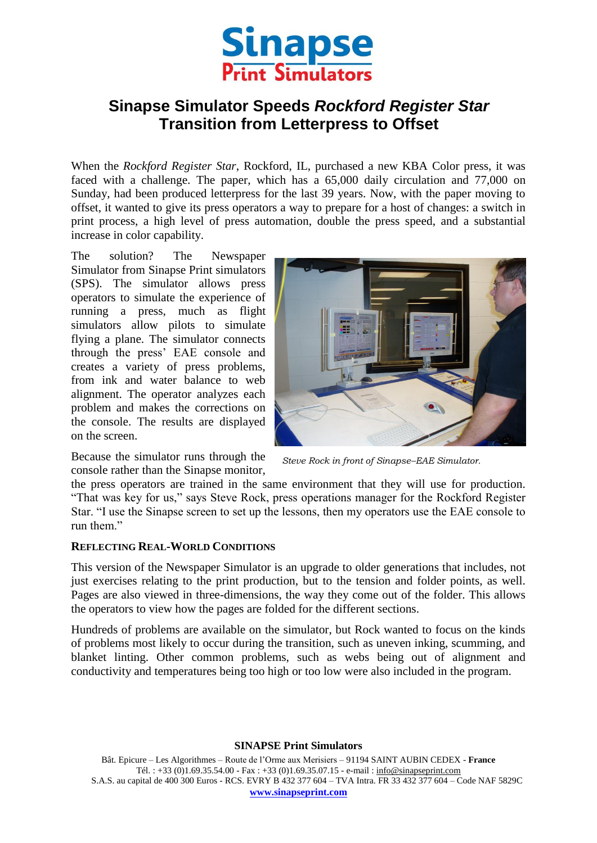

# **Sinapse Simulator Speeds** *Rockford Register Star*  **Transition from Letterpress to Offset**

When the *Rockford Register Star*, Rockford, IL, purchased a new KBA Color press, it was faced with a challenge. The paper, which has a 65,000 daily circulation and 77,000 on Sunday, had been produced letterpress for the last 39 years. Now, with the paper moving to offset, it wanted to give its press operators a way to prepare for a host of changes: a switch in print process, a high level of press automation, double the press speed, and a substantial increase in color capability.

The solution? The Newspaper Simulator from Sinapse Print simulators (SPS). The simulator allows press operators to simulate the experience of running a press, much as flight simulators allow pilots to simulate flying a plane. The simulator connects through the press' EAE console and creates a variety of press problems, from ink and water balance to web alignment. The operator analyzes each problem and makes the corrections on the console. The results are displayed on the screen.



Because the simulator runs through the console rather than the Sinapse monitor,

*Steve Rock in front of Sinapse–EAE Simulator.*

the press operators are trained in the same environment that they will use for production. "That was key for us," says Steve Rock, press operations manager for the Rockford Register Star. "I use the Sinapse screen to set up the lessons, then my operators use the EAE console to run them."

### **REFLECTING REAL-WORLD CONDITIONS**

This version of the Newspaper Simulator is an upgrade to older generations that includes, not just exercises relating to the print production, but to the tension and folder points, as well. Pages are also viewed in three-dimensions, the way they come out of the folder. This allows the operators to view how the pages are folded for the different sections.

Hundreds of problems are available on the simulator, but Rock wanted to focus on the kinds of problems most likely to occur during the transition, such as uneven inking, scumming, and blanket linting. Other common problems, such as webs being out of alignment and conductivity and temperatures being too high or too low were also included in the program.

#### **SINAPSE Print Simulators**

Bât. Epicure – Les Algorithmes – Route de l'Orme aux Merisiers – 91194 SAINT AUBIN CEDEX - **France** Tél. : +33 (0)1.69.35.54.00 - Fax : +33 (0)1.69.35.07.15 - e-mail : info@sinapseprint.com S.A.S. au capital de 400 300 Euros - RCS. EVRY B 432 377 604 – TVA Intra. FR 33 432 377 604 – Code NAF 5829C **[www.sinapseprint.com](http://www.sinapseprint.com/)**